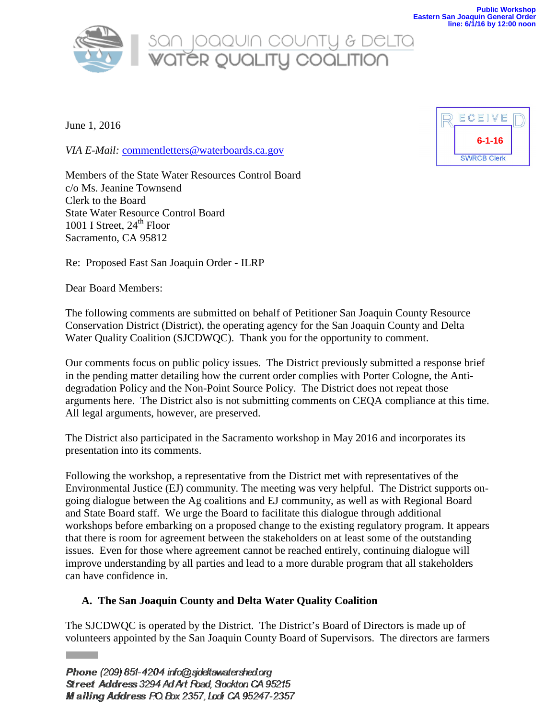

# SON JOQQUIN COUNTY & DELTO<br>WATER QUALITY COQLITION

June 1, 2016

*VIA E-Mail:* [commentletters@waterboards.ca.gov](mailto:commentletters@waterboards.ca.gov)

Members of the State Water Resources Control Board c/o Ms. Jeanine Townsend Clerk to the Board State Water Resource Control Board 1001 I Street,  $24<sup>th</sup>$  Floor Sacramento, CA 95812



Dear Board Members:

The following comments are submitted on behalf of Petitioner San Joaquin County Resource Conservation District (District), the operating agency for the San Joaquin County and Delta Water Quality Coalition (SJCDWQC). Thank you for the opportunity to comment.

Our comments focus on public policy issues. The District previously submitted a response brief in the pending matter detailing how the current order complies with Porter Cologne, the Antidegradation Policy and the Non-Point Source Policy. The District does not repeat those arguments here. The District also is not submitting comments on CEQA compliance at this time. All legal arguments, however, are preserved.

The District also participated in the Sacramento workshop in May 2016 and incorporates its presentation into its comments.

Following the workshop, a representative from the District met with representatives of the Environmental Justice (EJ) community. The meeting was very helpful. The District supports ongoing dialogue between the Ag coalitions and EJ community, as well as with Regional Board and State Board staff. We urge the Board to facilitate this dialogue through additional workshops before embarking on a proposed change to the existing regulatory program. It appears that there is room for agreement between the stakeholders on at least some of the outstanding issues. Even for those where agreement cannot be reached entirely, continuing dialogue will improve understanding by all parties and lead to a more durable program that all stakeholders can have confidence in.

# **A. The San Joaquin County and Delta Water Quality Coalition**

The SJCDWQC is operated by the District. The District's Board of Directors is made up of volunteers appointed by the San Joaquin County Board of Supervisors. The directors are farmers

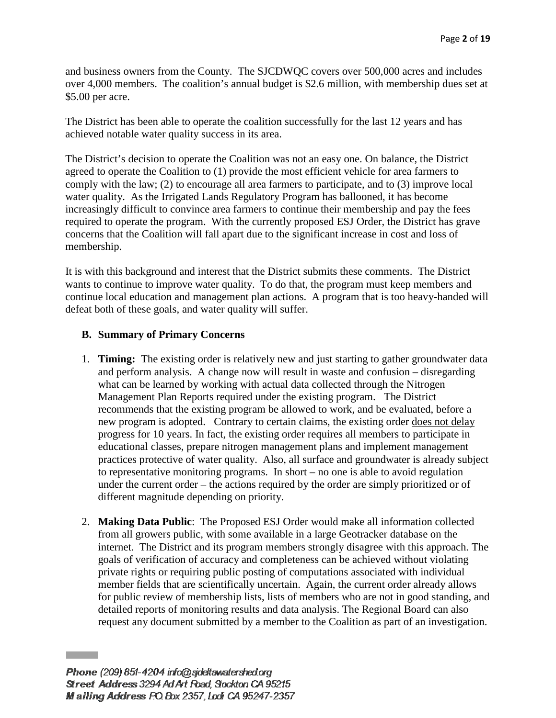and business owners from the County. The SJCDWQC covers over 500,000 acres and includes over 4,000 members. The coalition's annual budget is \$2.6 million, with membership dues set at \$5.00 per acre.

The District has been able to operate the coalition successfully for the last 12 years and has achieved notable water quality success in its area.

The District's decision to operate the Coalition was not an easy one. On balance, the District agreed to operate the Coalition to (1) provide the most efficient vehicle for area farmers to comply with the law; (2) to encourage all area farmers to participate, and to (3) improve local water quality. As the Irrigated Lands Regulatory Program has ballooned, it has become increasingly difficult to convince area farmers to continue their membership and pay the fees required to operate the program. With the currently proposed ESJ Order, the District has grave concerns that the Coalition will fall apart due to the significant increase in cost and loss of membership.

It is with this background and interest that the District submits these comments. The District wants to continue to improve water quality. To do that, the program must keep members and continue local education and management plan actions. A program that is too heavy-handed will defeat both of these goals, and water quality will suffer.

## **B. Summary of Primary Concerns**

- 1. **Timing:** The existing order is relatively new and just starting to gather groundwater data and perform analysis. A change now will result in waste and confusion – disregarding what can be learned by working with actual data collected through the Nitrogen Management Plan Reports required under the existing program. The District recommends that the existing program be allowed to work, and be evaluated, before a new program is adopted. Contrary to certain claims, the existing order does not delay progress for 10 years. In fact, the existing order requires all members to participate in educational classes, prepare nitrogen management plans and implement management practices protective of water quality. Also, all surface and groundwater is already subject to representative monitoring programs. In short – no one is able to avoid regulation under the current order – the actions required by the order are simply prioritized or of different magnitude depending on priority.
- 2. **Making Data Public**: The Proposed ESJ Order would make all information collected from all growers public, with some available in a large Geotracker database on the internet. The District and its program members strongly disagree with this approach. The goals of verification of accuracy and completeness can be achieved without violating private rights or requiring public posting of computations associated with individual member fields that are scientifically uncertain. Again, the current order already allows for public review of membership lists, lists of members who are not in good standing, and detailed reports of monitoring results and data analysis. The Regional Board can also request any document submitted by a member to the Coalition as part of an investigation.

Phone (209) 851-4204 info@sideltawatershed.org Street Address 3294 Ad Art Road, Stockton CA 95215 Mailing Address P.O. Box 2357, Lodi CA 95247-2357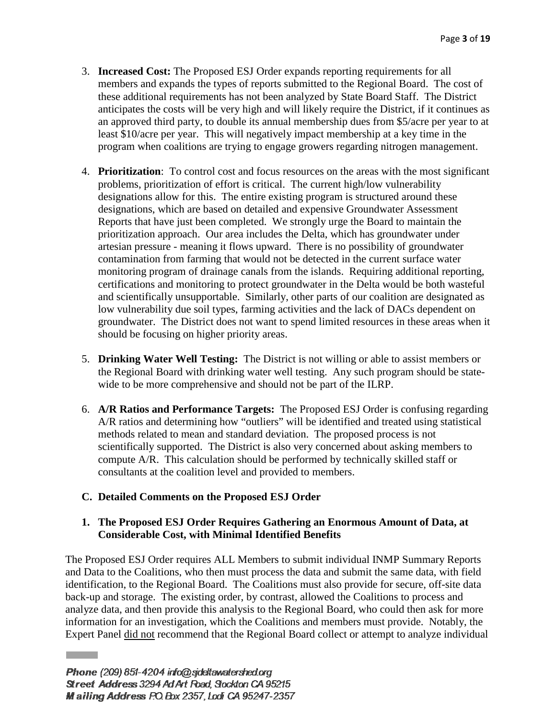- 3. **Increased Cost:** The Proposed ESJ Order expands reporting requirements for all members and expands the types of reports submitted to the Regional Board. The cost of these additional requirements has not been analyzed by State Board Staff. The District anticipates the costs will be very high and will likely require the District, if it continues as an approved third party, to double its annual membership dues from \$5/acre per year to at least \$10/acre per year. This will negatively impact membership at a key time in the program when coalitions are trying to engage growers regarding nitrogen management.
- 4. **Prioritization**: To control cost and focus resources on the areas with the most significant problems, prioritization of effort is critical. The current high/low vulnerability designations allow for this. The entire existing program is structured around these designations, which are based on detailed and expensive Groundwater Assessment Reports that have just been completed. We strongly urge the Board to maintain the prioritization approach. Our area includes the Delta, which has groundwater under artesian pressure - meaning it flows upward. There is no possibility of groundwater contamination from farming that would not be detected in the current surface water monitoring program of drainage canals from the islands. Requiring additional reporting, certifications and monitoring to protect groundwater in the Delta would be both wasteful and scientifically unsupportable. Similarly, other parts of our coalition are designated as low vulnerability due soil types, farming activities and the lack of DACs dependent on groundwater. The District does not want to spend limited resources in these areas when it should be focusing on higher priority areas.
- 5. **Drinking Water Well Testing:** The District is not willing or able to assist members or the Regional Board with drinking water well testing. Any such program should be statewide to be more comprehensive and should not be part of the ILRP.
- 6. **A/R Ratios and Performance Targets:** The Proposed ESJ Order is confusing regarding A/R ratios and determining how "outliers" will be identified and treated using statistical methods related to mean and standard deviation. The proposed process is not scientifically supported. The District is also very concerned about asking members to compute A/R. This calculation should be performed by technically skilled staff or consultants at the coalition level and provided to members.

## **C. Detailed Comments on the Proposed ESJ Order**

## **1. The Proposed ESJ Order Requires Gathering an Enormous Amount of Data, at Considerable Cost, with Minimal Identified Benefits**

The Proposed ESJ Order requires ALL Members to submit individual INMP Summary Reports and Data to the Coalitions, who then must process the data and submit the same data, with field identification, to the Regional Board. The Coalitions must also provide for secure, off-site data back-up and storage. The existing order, by contrast, allowed the Coalitions to process and analyze data, and then provide this analysis to the Regional Board, who could then ask for more information for an investigation, which the Coalitions and members must provide. Notably, the Expert Panel did not recommend that the Regional Board collect or attempt to analyze individual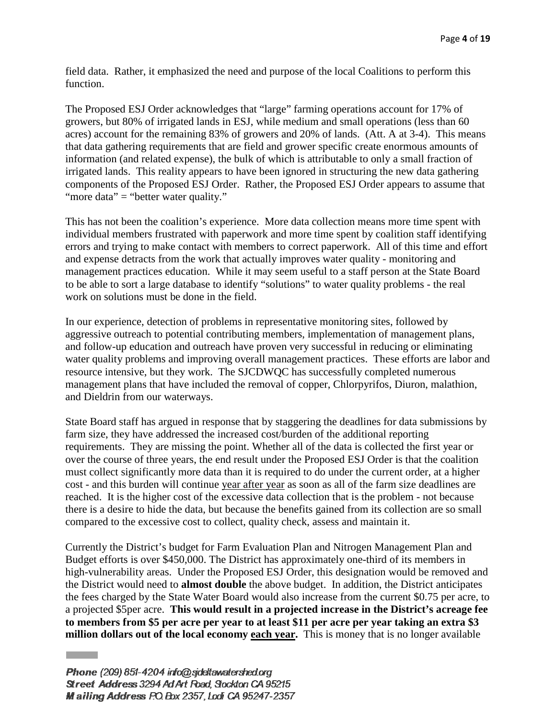field data. Rather, it emphasized the need and purpose of the local Coalitions to perform this function.

The Proposed ESJ Order acknowledges that "large" farming operations account for 17% of growers, but 80% of irrigated lands in ESJ, while medium and small operations (less than 60 acres) account for the remaining 83% of growers and 20% of lands. (Att. A at 3-4). This means that data gathering requirements that are field and grower specific create enormous amounts of information (and related expense), the bulk of which is attributable to only a small fraction of irrigated lands. This reality appears to have been ignored in structuring the new data gathering components of the Proposed ESJ Order. Rather, the Proposed ESJ Order appears to assume that "more data" = "better water quality."

This has not been the coalition's experience. More data collection means more time spent with individual members frustrated with paperwork and more time spent by coalition staff identifying errors and trying to make contact with members to correct paperwork. All of this time and effort and expense detracts from the work that actually improves water quality - monitoring and management practices education. While it may seem useful to a staff person at the State Board to be able to sort a large database to identify "solutions" to water quality problems - the real work on solutions must be done in the field.

In our experience, detection of problems in representative monitoring sites, followed by aggressive outreach to potential contributing members, implementation of management plans, and follow-up education and outreach have proven very successful in reducing or eliminating water quality problems and improving overall management practices. These efforts are labor and resource intensive, but they work. The SJCDWQC has successfully completed numerous management plans that have included the removal of copper, Chlorpyrifos, Diuron, malathion, and Dieldrin from our waterways.

State Board staff has argued in response that by staggering the deadlines for data submissions by farm size, they have addressed the increased cost/burden of the additional reporting requirements. They are missing the point. Whether all of the data is collected the first year or over the course of three years, the end result under the Proposed ESJ Order is that the coalition must collect significantly more data than it is required to do under the current order, at a higher cost - and this burden will continue year after year as soon as all of the farm size deadlines are reached. It is the higher cost of the excessive data collection that is the problem - not because there is a desire to hide the data, but because the benefits gained from its collection are so small compared to the excessive cost to collect, quality check, assess and maintain it.

Currently the District's budget for Farm Evaluation Plan and Nitrogen Management Plan and Budget efforts is over \$450,000. The District has approximately one-third of its members in high-vulnerability areas. Under the Proposed ESJ Order, this designation would be removed and the District would need to **almost double** the above budget. In addition, the District anticipates the fees charged by the State Water Board would also increase from the current \$0.75 per acre, to a projected \$5per acre. **This would result in a projected increase in the District's acreage fee to members from \$5 per acre per year to at least \$11 per acre per year taking an extra \$3 million dollars out of the local economy each year.** This is money that is no longer available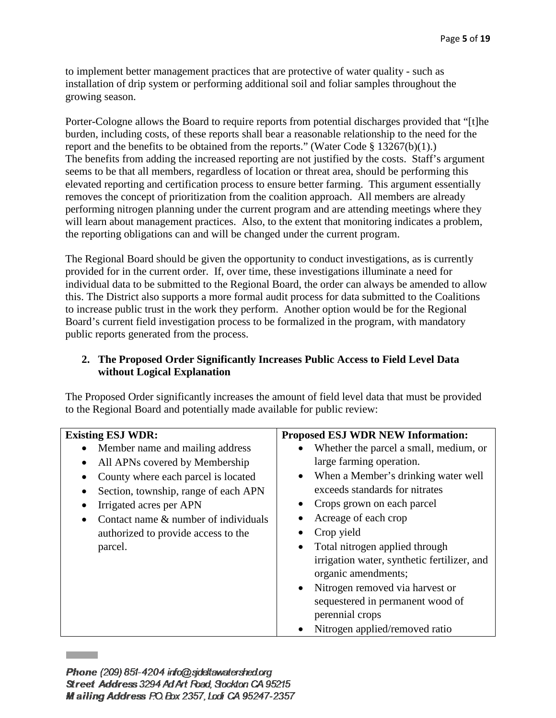to implement better management practices that are protective of water quality - such as installation of drip system or performing additional soil and foliar samples throughout the growing season.

Porter-Cologne allows the Board to require reports from potential discharges provided that "[t]he burden, including costs, of these reports shall bear a reasonable relationship to the need for the report and the benefits to be obtained from the reports." (Water Code § 13267(b)(1).) The benefits from adding the increased reporting are not justified by the costs. Staff's argument seems to be that all members, regardless of location or threat area, should be performing this elevated reporting and certification process to ensure better farming. This argument essentially removes the concept of prioritization from the coalition approach. All members are already performing nitrogen planning under the current program and are attending meetings where they will learn about management practices. Also, to the extent that monitoring indicates a problem, the reporting obligations can and will be changed under the current program.

The Regional Board should be given the opportunity to conduct investigations, as is currently provided for in the current order. If, over time, these investigations illuminate a need for individual data to be submitted to the Regional Board, the order can always be amended to allow this. The District also supports a more formal audit process for data submitted to the Coalitions to increase public trust in the work they perform. Another option would be for the Regional Board's current field investigation process to be formalized in the program, with mandatory public reports generated from the process.

# **2. The Proposed Order Significantly Increases Public Access to Field Level Data without Logical Explanation**

The Proposed Order significantly increases the amount of field level data that must be provided to the Regional Board and potentially made available for public review:

| <b>Existing ESJ WDR:</b>             | <b>Proposed ESJ WDR NEW Information:</b>         |
|--------------------------------------|--------------------------------------------------|
| Member name and mailing address      | Whether the parcel a small, medium, or           |
| All APNs covered by Membership       | large farming operation.                         |
| County where each parcel is located  | When a Member's drinking water well<br>$\bullet$ |
| Section, township, range of each APN | exceeds standards for nitrates                   |
| Irrigated acres per APN              | Crops grown on each parcel                       |
| Contact name & number of individuals | Acreage of each crop                             |
| authorized to provide access to the  | Crop yield                                       |
| parcel.                              | Total nitrogen applied through                   |
|                                      | irrigation water, synthetic fertilizer, and      |
|                                      | organic amendments;                              |
|                                      | Nitrogen removed via harvest or<br>$\bullet$     |
|                                      | sequestered in permanent wood of                 |
|                                      | perennial crops                                  |
|                                      | Nitrogen applied/removed ratio                   |

Phone (209) 851-4204 info@sideltawatershed.org Street Address 3294 Ad Art Road, Stockton CA 95215 Mailing Address PO Box 2357, Lodi CA 95247-2357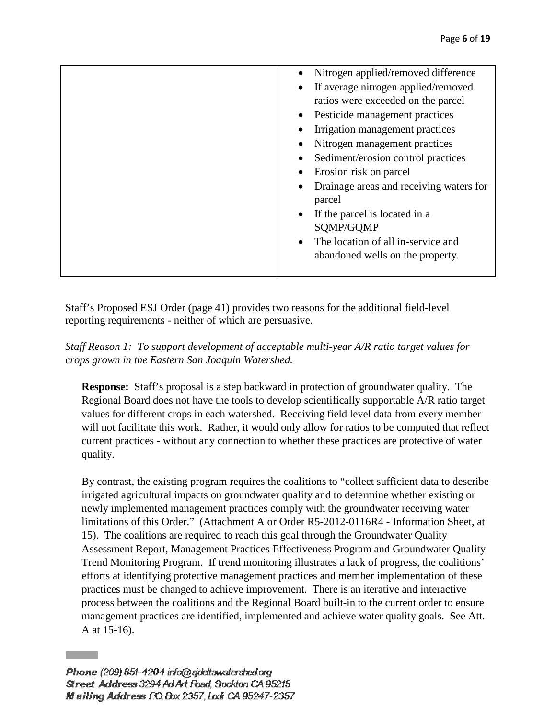| Nitrogen applied/removed difference               |
|---------------------------------------------------|
|                                                   |
| If average nitrogen applied/removed<br>$\bullet$  |
| ratios were exceeded on the parcel                |
| • Pesticide management practices                  |
| Irrigation management practices                   |
| Nitrogen management practices<br>$\bullet$        |
| Sediment/erosion control practices                |
| Erosion risk on parcel                            |
| Drainage areas and receiving waters for<br>parcel |
| • If the parcel is located in a                   |
| SQMP/GQMP                                         |
| The location of all in-service and                |
| abandoned wells on the property.                  |
|                                                   |
|                                                   |

Staff's Proposed ESJ Order (page 41) provides two reasons for the additional field-level reporting requirements - neither of which are persuasive.

*Staff Reason 1: To support development of acceptable multi-year A/R ratio target values for crops grown in the Eastern San Joaquin Watershed.* 

**Response:** Staff's proposal is a step backward in protection of groundwater quality. The Regional Board does not have the tools to develop scientifically supportable A/R ratio target values for different crops in each watershed. Receiving field level data from every member will not facilitate this work. Rather, it would only allow for ratios to be computed that reflect current practices - without any connection to whether these practices are protective of water quality.

By contrast, the existing program requires the coalitions to "collect sufficient data to describe irrigated agricultural impacts on groundwater quality and to determine whether existing or newly implemented management practices comply with the groundwater receiving water limitations of this Order." (Attachment A or Order R5-2012-0116R4 - Information Sheet, at 15). The coalitions are required to reach this goal through the Groundwater Quality Assessment Report, Management Practices Effectiveness Program and Groundwater Quality Trend Monitoring Program. If trend monitoring illustrates a lack of progress, the coalitions' efforts at identifying protective management practices and member implementation of these practices must be changed to achieve improvement. There is an iterative and interactive process between the coalitions and the Regional Board built-in to the current order to ensure management practices are identified, implemented and achieve water quality goals. See Att. A at 15-16).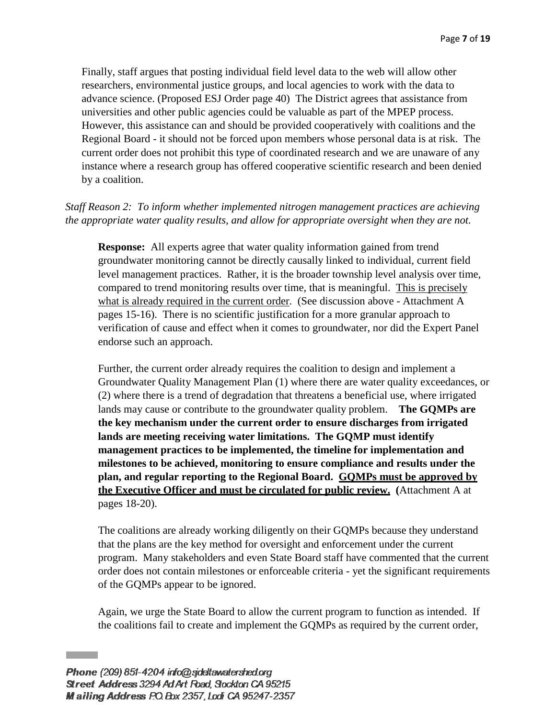Finally, staff argues that posting individual field level data to the web will allow other researchers, environmental justice groups, and local agencies to work with the data to advance science. (Proposed ESJ Order page 40) The District agrees that assistance from universities and other public agencies could be valuable as part of the MPEP process. However, this assistance can and should be provided cooperatively with coalitions and the Regional Board - it should not be forced upon members whose personal data is at risk. The current order does not prohibit this type of coordinated research and we are unaware of any instance where a research group has offered cooperative scientific research and been denied by a coalition.

# *Staff Reason 2: To inform whether implemented nitrogen management practices are achieving the appropriate water quality results, and allow for appropriate oversight when they are not.*

**Response:** All experts agree that water quality information gained from trend groundwater monitoring cannot be directly causally linked to individual, current field level management practices. Rather, it is the broader township level analysis over time, compared to trend monitoring results over time, that is meaningful. This is precisely what is already required in the current order. (See discussion above - Attachment A pages 15-16). There is no scientific justification for a more granular approach to verification of cause and effect when it comes to groundwater, nor did the Expert Panel endorse such an approach.

Further, the current order already requires the coalition to design and implement a Groundwater Quality Management Plan (1) where there are water quality exceedances, or (2) where there is a trend of degradation that threatens a beneficial use, where irrigated lands may cause or contribute to the groundwater quality problem. **The GQMPs are the key mechanism under the current order to ensure discharges from irrigated lands are meeting receiving water limitations. The GQMP must identify management practices to be implemented, the timeline for implementation and milestones to be achieved, monitoring to ensure compliance and results under the plan, and regular reporting to the Regional Board. GQMPs must be approved by the Executive Officer and must be circulated for public review. (**Attachment A at pages 18-20).

The coalitions are already working diligently on their GQMPs because they understand that the plans are the key method for oversight and enforcement under the current program. Many stakeholders and even State Board staff have commented that the current order does not contain milestones or enforceable criteria - yet the significant requirements of the GQMPs appear to be ignored.

Again, we urge the State Board to allow the current program to function as intended. If the coalitions fail to create and implement the GQMPs as required by the current order,

Phone (209) 851-4204 info@golettawatershed.org Street Address 3294 Ad Art Road, Stockton CA 95215 Mailing Address P.O. Box 2357, Lodi CA 95247-2357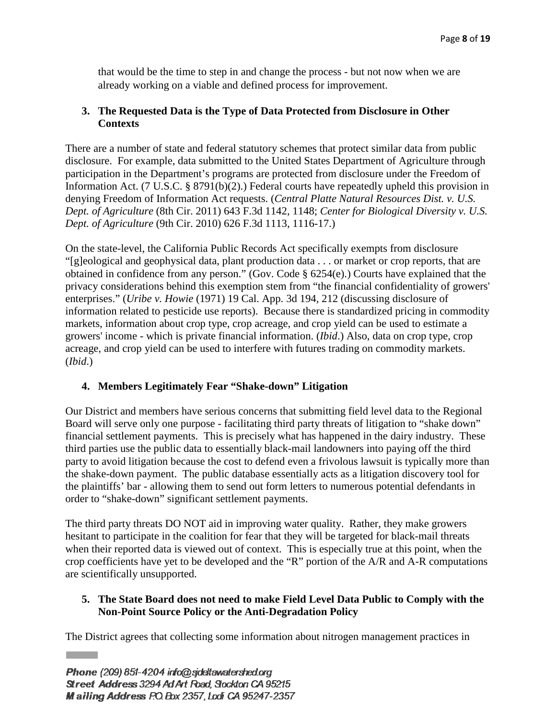that would be the time to step in and change the process - but not now when we are already working on a viable and defined process for improvement.

## **3. The Requested Data is the Type of Data Protected from Disclosure in Other Contexts**

There are a number of state and federal statutory schemes that protect similar data from public disclosure. For example, data submitted to the United States Department of Agriculture through participation in the Department's programs are protected from disclosure under the Freedom of Information Act. (7 U.S.C. § 8791(b)(2).) Federal courts have repeatedly upheld this provision in denying Freedom of Information Act requests. (*Central Platte Natural Resources Dist. v. U.S. Dept. of Agriculture* (8th Cir. 2011) 643 F.3d 1142, 1148; *Center for Biological Diversity v. U.S. Dept. of Agriculture* (9th Cir. 2010) 626 F.3d 1113, 1116-17.)

On the state-level, the California Public Records Act specifically exempts from disclosure "[g]eological and geophysical data, plant production data . . . or market or crop reports, that are obtained in confidence from any person." (Gov. Code § 6254(e).) Courts have explained that the privacy considerations behind this exemption stem from "the financial confidentiality of growers' enterprises." (*Uribe v. Howie* (1971) 19 Cal. App. 3d 194, 212 (discussing disclosure of information related to pesticide use reports). Because there is standardized pricing in commodity markets, information about crop type, crop acreage, and crop yield can be used to estimate a growers' income - which is private financial information. (*Ibid*.) Also, data on crop type, crop acreage, and crop yield can be used to interfere with futures trading on commodity markets. (*Ibid*.)

# **4. Members Legitimately Fear "Shake-down" Litigation**

Our District and members have serious concerns that submitting field level data to the Regional Board will serve only one purpose - facilitating third party threats of litigation to "shake down" financial settlement payments. This is precisely what has happened in the dairy industry. These third parties use the public data to essentially black-mail landowners into paying off the third party to avoid litigation because the cost to defend even a frivolous lawsuit is typically more than the shake-down payment. The public database essentially acts as a litigation discovery tool for the plaintiffs' bar - allowing them to send out form letters to numerous potential defendants in order to "shake-down" significant settlement payments.

The third party threats DO NOT aid in improving water quality. Rather, they make growers hesitant to participate in the coalition for fear that they will be targeted for black-mail threats when their reported data is viewed out of context. This is especially true at this point, when the crop coefficients have yet to be developed and the "R" portion of the A/R and A-R computations are scientifically unsupported.

# **5. The State Board does not need to make Field Level Data Public to Comply with the Non-Point Source Policy or the Anti-Degradation Policy**

The District agrees that collecting some information about nitrogen management practices in

**Contract**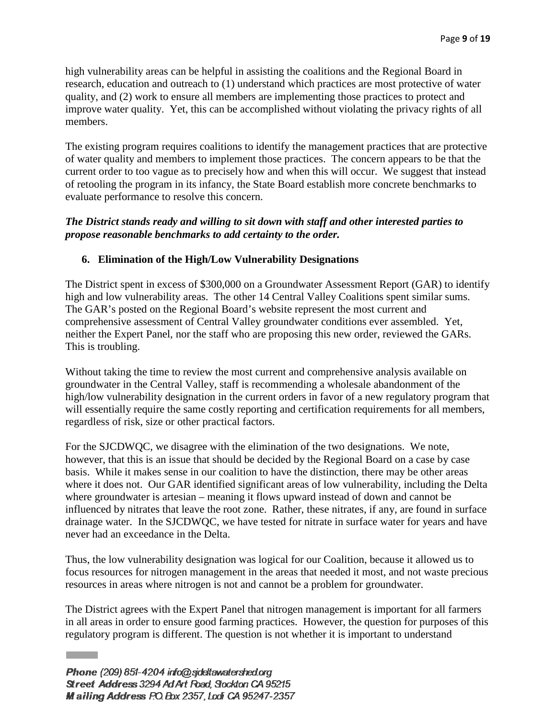high vulnerability areas can be helpful in assisting the coalitions and the Regional Board in research, education and outreach to (1) understand which practices are most protective of water quality, and (2) work to ensure all members are implementing those practices to protect and improve water quality. Yet, this can be accomplished without violating the privacy rights of all members.

The existing program requires coalitions to identify the management practices that are protective of water quality and members to implement those practices. The concern appears to be that the current order to too vague as to precisely how and when this will occur. We suggest that instead of retooling the program in its infancy, the State Board establish more concrete benchmarks to evaluate performance to resolve this concern.

## *The District stands ready and willing to sit down with staff and other interested parties to propose reasonable benchmarks to add certainty to the order.*

## **6. Elimination of the High/Low Vulnerability Designations**

The District spent in excess of \$300,000 on a Groundwater Assessment Report (GAR) to identify high and low vulnerability areas. The other 14 Central Valley Coalitions spent similar sums. The GAR's posted on the Regional Board's website represent the most current and comprehensive assessment of Central Valley groundwater conditions ever assembled. Yet, neither the Expert Panel, nor the staff who are proposing this new order, reviewed the GARs. This is troubling.

Without taking the time to review the most current and comprehensive analysis available on groundwater in the Central Valley, staff is recommending a wholesale abandonment of the high/low vulnerability designation in the current orders in favor of a new regulatory program that will essentially require the same costly reporting and certification requirements for all members, regardless of risk, size or other practical factors.

For the SJCDWQC, we disagree with the elimination of the two designations. We note, however, that this is an issue that should be decided by the Regional Board on a case by case basis. While it makes sense in our coalition to have the distinction, there may be other areas where it does not. Our GAR identified significant areas of low vulnerability, including the Delta where groundwater is artesian – meaning it flows upward instead of down and cannot be influenced by nitrates that leave the root zone. Rather, these nitrates, if any, are found in surface drainage water. In the SJCDWQC, we have tested for nitrate in surface water for years and have never had an exceedance in the Delta.

Thus, the low vulnerability designation was logical for our Coalition, because it allowed us to focus resources for nitrogen management in the areas that needed it most, and not waste precious resources in areas where nitrogen is not and cannot be a problem for groundwater.

The District agrees with the Expert Panel that nitrogen management is important for all farmers in all areas in order to ensure good farming practices. However, the question for purposes of this regulatory program is different. The question is not whether it is important to understand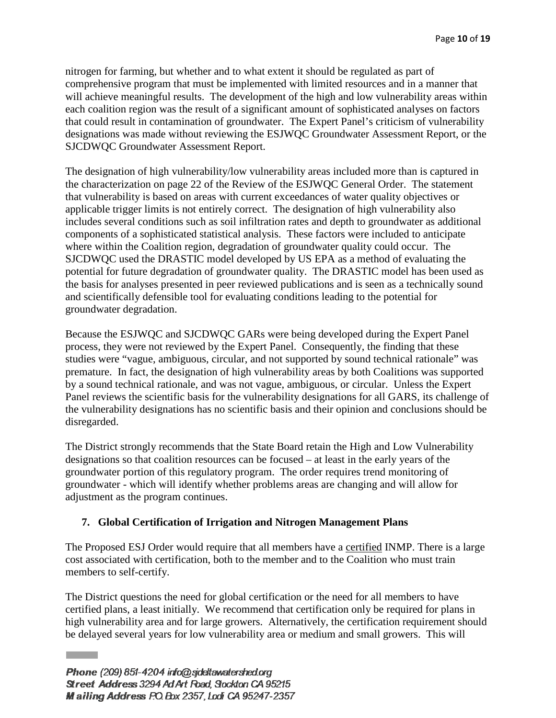nitrogen for farming, but whether and to what extent it should be regulated as part of comprehensive program that must be implemented with limited resources and in a manner that will achieve meaningful results. The development of the high and low vulnerability areas within each coalition region was the result of a significant amount of sophisticated analyses on factors that could result in contamination of groundwater. The Expert Panel's criticism of vulnerability designations was made without reviewing the ESJWQC Groundwater Assessment Report, or the SJCDWQC Groundwater Assessment Report.

The designation of high vulnerability/low vulnerability areas included more than is captured in the characterization on page 22 of the Review of the ESJWQC General Order. The statement that vulnerability is based on areas with current exceedances of water quality objectives or applicable trigger limits is not entirely correct. The designation of high vulnerability also includes several conditions such as soil infiltration rates and depth to groundwater as additional components of a sophisticated statistical analysis. These factors were included to anticipate where within the Coalition region, degradation of groundwater quality could occur. The SJCDWQC used the DRASTIC model developed by US EPA as a method of evaluating the potential for future degradation of groundwater quality. The DRASTIC model has been used as the basis for analyses presented in peer reviewed publications and is seen as a technically sound and scientifically defensible tool for evaluating conditions leading to the potential for groundwater degradation.

Because the ESJWQC and SJCDWQC GARs were being developed during the Expert Panel process, they were not reviewed by the Expert Panel. Consequently, the finding that these studies were "vague, ambiguous, circular, and not supported by sound technical rationale" was premature. In fact, the designation of high vulnerability areas by both Coalitions was supported by a sound technical rationale, and was not vague, ambiguous, or circular. Unless the Expert Panel reviews the scientific basis for the vulnerability designations for all GARS, its challenge of the vulnerability designations has no scientific basis and their opinion and conclusions should be disregarded.

The District strongly recommends that the State Board retain the High and Low Vulnerability designations so that coalition resources can be focused – at least in the early years of the groundwater portion of this regulatory program. The order requires trend monitoring of groundwater - which will identify whether problems areas are changing and will allow for adjustment as the program continues.

## **7. Global Certification of Irrigation and Nitrogen Management Plans**

The Proposed ESJ Order would require that all members have a certified INMP. There is a large cost associated with certification, both to the member and to the Coalition who must train members to self-certify.

The District questions the need for global certification or the need for all members to have certified plans, a least initially. We recommend that certification only be required for plans in high vulnerability area and for large growers. Alternatively, the certification requirement should be delayed several years for low vulnerability area or medium and small growers. This will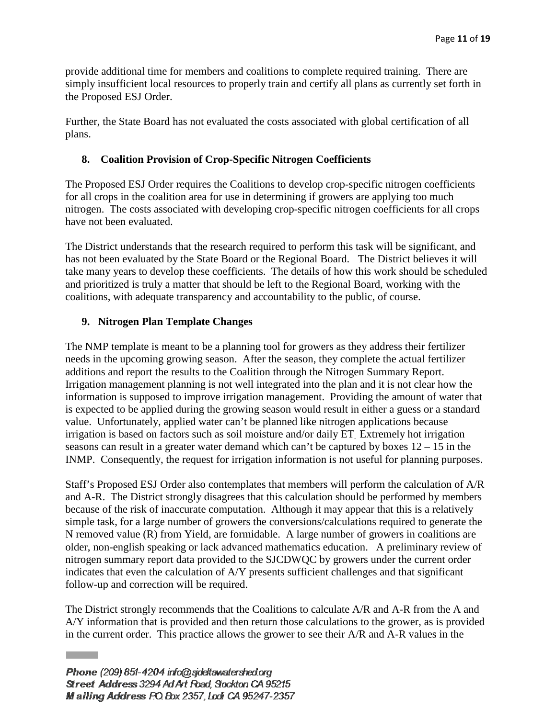provide additional time for members and coalitions to complete required training. There are simply insufficient local resources to properly train and certify all plans as currently set forth in the Proposed ESJ Order.

Further, the State Board has not evaluated the costs associated with global certification of all plans.

## **8. Coalition Provision of Crop-Specific Nitrogen Coefficients**

The Proposed ESJ Order requires the Coalitions to develop crop-specific nitrogen coefficients for all crops in the coalition area for use in determining if growers are applying too much nitrogen. The costs associated with developing crop-specific nitrogen coefficients for all crops have not been evaluated.

The District understands that the research required to perform this task will be significant, and has not been evaluated by the State Board or the Regional Board. The District believes it will take many years to develop these coefficients. The details of how this work should be scheduled and prioritized is truly a matter that should be left to the Regional Board, working with the coalitions, with adequate transparency and accountability to the public, of course.

## **9. Nitrogen Plan Template Changes**

The NMP template is meant to be a planning tool for growers as they address their fertilizer needs in the upcoming growing season. After the season, they complete the actual fertilizer additions and report the results to the Coalition through the Nitrogen Summary Report. Irrigation management planning is not well integrated into the plan and it is not clear how the information is supposed to improve irrigation management. Providing the amount of water that is expected to be applied during the growing season would result in either a guess or a standard value. Unfortunately, applied water can't be planned like nitrogen applications because irrigation is based on factors such as soil moisture and/or daily ET. Extremely hot irrigation seasons can result in a greater water demand which can't be captured by boxes  $12 - 15$  in the INMP. Consequently, the request for irrigation information is not useful for planning purposes.

Staff's Proposed ESJ Order also contemplates that members will perform the calculation of A/R and A-R. The District strongly disagrees that this calculation should be performed by members because of the risk of inaccurate computation. Although it may appear that this is a relatively simple task, for a large number of growers the conversions/calculations required to generate the N removed value (R) from Yield, are formidable. A large number of growers in coalitions are older, non-english speaking or lack advanced mathematics education. A preliminary review of nitrogen summary report data provided to the SJCDWQC by growers under the current order indicates that even the calculation of A/Y presents sufficient challenges and that significant follow-up and correction will be required.

The District strongly recommends that the Coalitions to calculate A/R and A-R from the A and A/Y information that is provided and then return those calculations to the grower, as is provided in the current order. This practice allows the grower to see their A/R and A-R values in the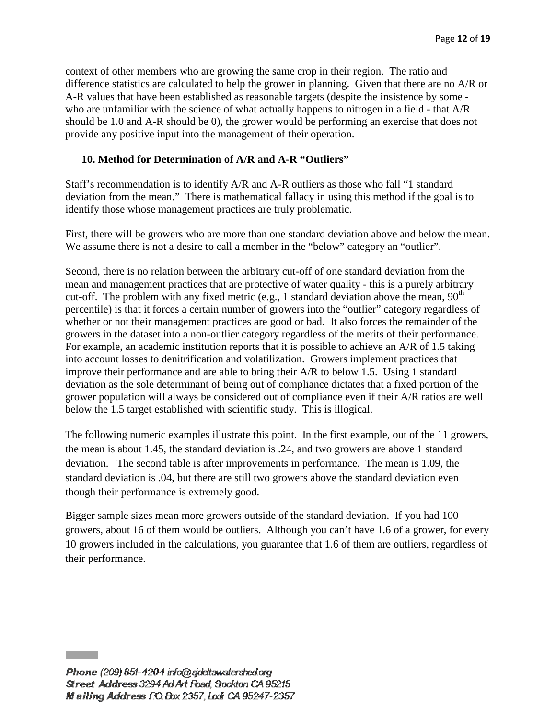context of other members who are growing the same crop in their region. The ratio and difference statistics are calculated to help the grower in planning. Given that there are no A/R or A-R values that have been established as reasonable targets (despite the insistence by some who are unfamiliar with the science of what actually happens to nitrogen in a field - that A/R should be 1.0 and A-R should be 0), the grower would be performing an exercise that does not provide any positive input into the management of their operation.

## **10. Method for Determination of A/R and A-R "Outliers"**

Staff's recommendation is to identify A/R and A-R outliers as those who fall "1 standard deviation from the mean." There is mathematical fallacy in using this method if the goal is to identify those whose management practices are truly problematic.

First, there will be growers who are more than one standard deviation above and below the mean. We assume there is not a desire to call a member in the "below" category an "outlier".

Second, there is no relation between the arbitrary cut-off of one standard deviation from the mean and management practices that are protective of water quality - this is a purely arbitrary cut-off. The problem with any fixed metric (e.g., 1 standard deviation above the mean,  $90<sup>th</sup>$ percentile) is that it forces a certain number of growers into the "outlier" category regardless of whether or not their management practices are good or bad. It also forces the remainder of the growers in the dataset into a non-outlier category regardless of the merits of their performance. For example, an academic institution reports that it is possible to achieve an A/R of 1.5 taking into account losses to denitrification and volatilization. Growers implement practices that improve their performance and are able to bring their A/R to below 1.5. Using 1 standard deviation as the sole determinant of being out of compliance dictates that a fixed portion of the grower population will always be considered out of compliance even if their A/R ratios are well below the 1.5 target established with scientific study. This is illogical.

The following numeric examples illustrate this point. In the first example, out of the 11 growers, the mean is about 1.45, the standard deviation is .24, and two growers are above 1 standard deviation. The second table is after improvements in performance. The mean is 1.09, the standard deviation is .04, but there are still two growers above the standard deviation even though their performance is extremely good.

Bigger sample sizes mean more growers outside of the standard deviation. If you had 100 growers, about 16 of them would be outliers. Although you can't have 1.6 of a grower, for every 10 growers included in the calculations, you guarantee that 1.6 of them are outliers, regardless of their performance.

Phone (209) 851-4204 info@sideltawatershed.org Street Address 3294 Ad Art Road, Stockton CA 95215 Mailing Address P.O. Box 2357, Lodi CA 95247-2357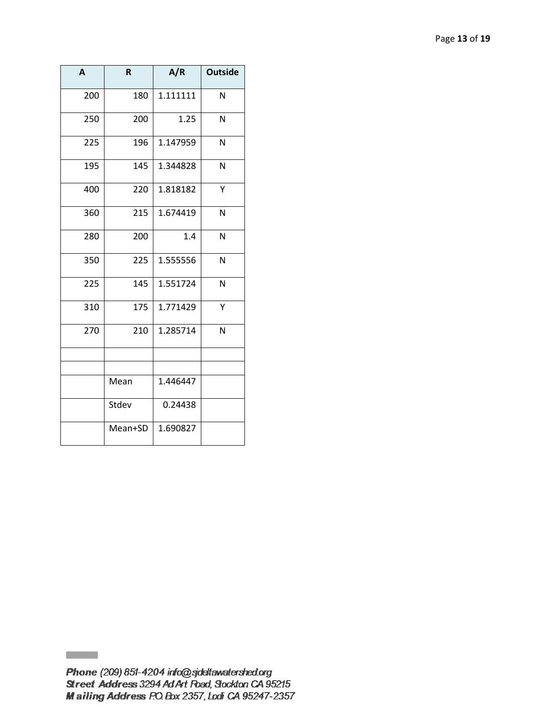| A   | $\mathsf R$ | A/R      | <b>Outside</b> |
|-----|-------------|----------|----------------|
| 200 | 180         | 1.111111 | N              |
| 250 | 200         | 1.25     | N              |
| 225 | 196         | 1.147959 | N              |
| 195 | 145         | 1.344828 | N              |
| 400 | 220         | 1.818182 | Y              |
| 360 | 215         | 1.674419 | N              |
| 280 | 200         | 1.4      | N              |
| 350 | 225         | 1.555556 | N              |
| 225 | 145         | 1.551724 | N              |
| 310 | 175         | 1.771429 | Y              |
| 270 | 210         | 1.285714 | N              |
|     |             |          |                |
|     | Mean        | 1.446447 |                |
|     | Stdev       | 0.24438  |                |
|     | Mean+SD     | 1.690827 |                |

**Contract**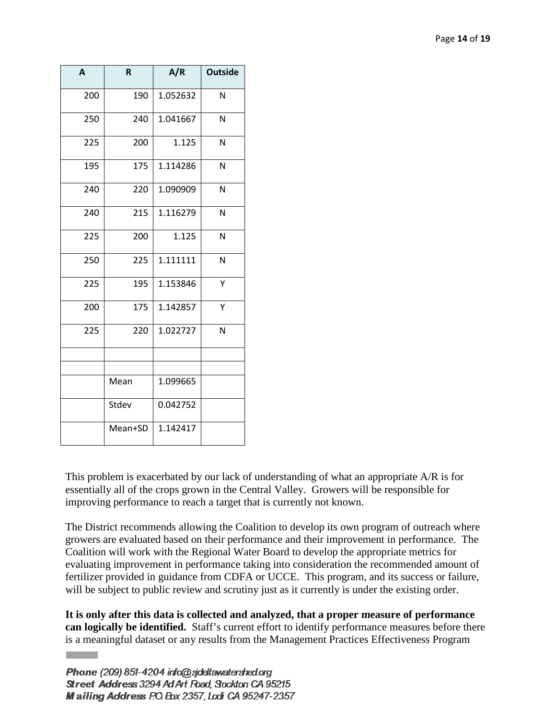| A   | R       | A/R      | <b>Outside</b> |
|-----|---------|----------|----------------|
| 200 | 190     | 1.052632 | N              |
| 250 | 240     | 1.041667 | N              |
| 225 | 200     | 1.125    | N              |
| 195 | 175     | 1.114286 | N              |
| 240 | 220     | 1.090909 | N              |
| 240 | 215     | 1.116279 | N              |
| 225 | 200     | 1.125    | N              |
| 250 | 225     | 1.111111 | N              |
| 225 | 195     | 1.153846 | Υ              |
| 200 | 175     | 1.142857 | Υ              |
| 225 | 220     | 1.022727 | N              |
|     |         |          |                |
|     | Mean    | 1.099665 |                |
|     | Stdev   | 0.042752 |                |
|     | Mean+SD | 1.142417 |                |

This problem is exacerbated by our lack of understanding of what an appropriate A/R is for essentially all of the crops grown in the Central Valley. Growers will be responsible for improving performance to reach a target that is currently not known.

The District recommends allowing the Coalition to develop its own program of outreach where growers are evaluated based on their performance and their improvement in performance. The Coalition will work with the Regional Water Board to develop the appropriate metrics for evaluating improvement in performance taking into consideration the recommended amount of fertilizer provided in guidance from CDFA or UCCE. This program, and its success or failure, will be subject to public review and scrutiny just as it currently is under the existing order.

**It is only after this data is collected and analyzed, that a proper measure of performance can logically be identified.** Staff's current effort to identify performance measures before there is a meaningful dataset or any results from the Management Practices Effectiveness Program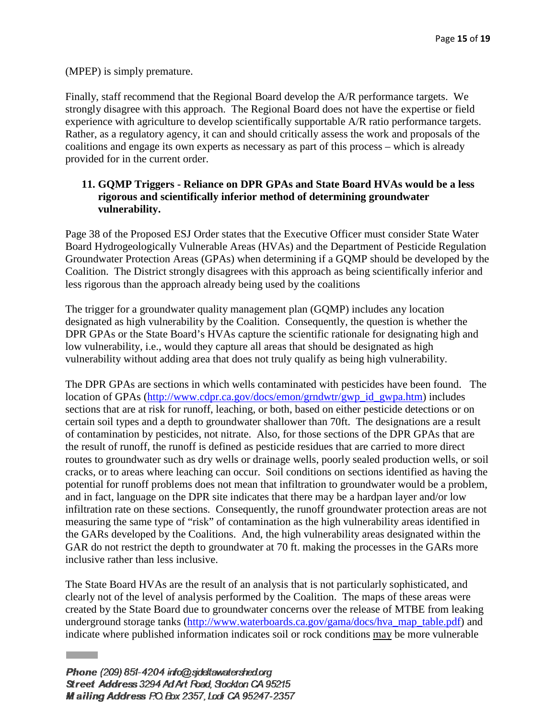(MPEP) is simply premature.

Finally, staff recommend that the Regional Board develop the A/R performance targets. We strongly disagree with this approach. The Regional Board does not have the expertise or field experience with agriculture to develop scientifically supportable A/R ratio performance targets. Rather, as a regulatory agency, it can and should critically assess the work and proposals of the coalitions and engage its own experts as necessary as part of this process – which is already provided for in the current order.

# **11. GQMP Triggers - Reliance on DPR GPAs and State Board HVAs would be a less rigorous and scientifically inferior method of determining groundwater vulnerability.**

Page 38 of the Proposed ESJ Order states that the Executive Officer must consider State Water Board Hydrogeologically Vulnerable Areas (HVAs) and the Department of Pesticide Regulation Groundwater Protection Areas (GPAs) when determining if a GQMP should be developed by the Coalition. The District strongly disagrees with this approach as being scientifically inferior and less rigorous than the approach already being used by the coalitions

The trigger for a groundwater quality management plan (GQMP) includes any location designated as high vulnerability by the Coalition. Consequently, the question is whether the DPR GPAs or the State Board's HVAs capture the scientific rationale for designating high and low vulnerability, i.e., would they capture all areas that should be designated as high vulnerability without adding area that does not truly qualify as being high vulnerability.

The DPR GPAs are sections in which wells contaminated with pesticides have been found. The location of GPAs [\(http://www.cdpr.ca.gov/docs/emon/grndwtr/gwp\\_id\\_gwpa.htm\)](http://www.cdpr.ca.gov/docs/emon/grndwtr/gwp_id_gwpa.htm) includes sections that are at risk for runoff, leaching, or both, based on either pesticide detections or on certain soil types and a depth to groundwater shallower than 70ft. The designations are a result of contamination by pesticides, not nitrate. Also, for those sections of the DPR GPAs that are the result of runoff, the runoff is defined as pesticide residues that are carried to more direct routes to groundwater such as dry wells or drainage wells, poorly sealed production wells, or soil cracks, or to areas where leaching can occur. Soil conditions on sections identified as having the potential for runoff problems does not mean that infiltration to groundwater would be a problem, and in fact, language on the DPR site indicates that there may be a hardpan layer and/or low infiltration rate on these sections. Consequently, the runoff groundwater protection areas are not measuring the same type of "risk" of contamination as the high vulnerability areas identified in the GARs developed by the Coalitions. And, the high vulnerability areas designated within the GAR do not restrict the depth to groundwater at 70 ft. making the processes in the GARs more inclusive rather than less inclusive.

The State Board HVAs are the result of an analysis that is not particularly sophisticated, and clearly not of the level of analysis performed by the Coalition. The maps of these areas were created by the State Board due to groundwater concerns over the release of MTBE from leaking underground storage tanks [\(http://www.waterboards.ca.gov/gama/docs/hva\\_map\\_table.pdf\)](http://www.waterboards.ca.gov/gama/docs/hva_map_table.pdf) and indicate where published information indicates soil or rock conditions may be more vulnerable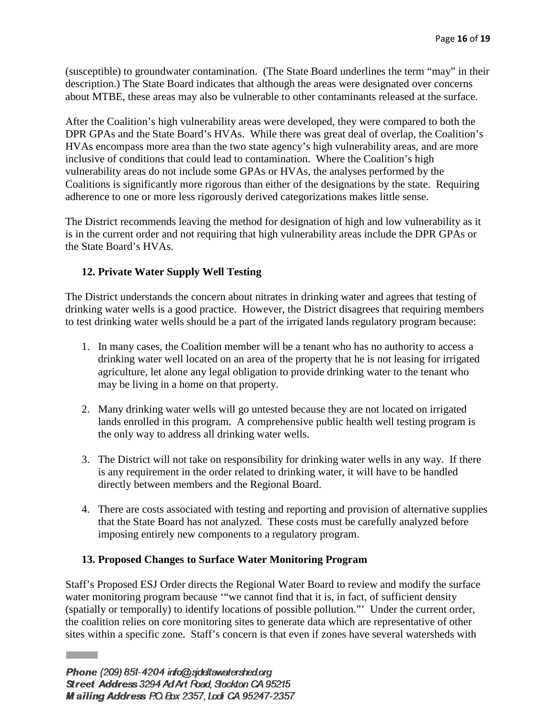(susceptible) to groundwater contamination. (The State Board underlines the term "may" in their description.) The State Board indicates that although the areas were designated over concerns about MTBE, these areas may also be vulnerable to other contaminants released at the surface.

After the Coalition's high vulnerability areas were developed, they were compared to both the DPR GPAs and the State Board's HVAs. While there was great deal of overlap, the Coalition's HVAs encompass more area than the two state agency's high vulnerability areas, and are more inclusive of conditions that could lead to contamination. Where the Coalition's high vulnerability areas do not include some GPAs or HVAs, the analyses performed by the Coalitions is significantly more rigorous than either of the designations by the state. Requiring adherence to one or more less rigorously derived categorizations makes little sense.

The District recommends leaving the method for designation of high and low vulnerability as it is in the current order and not requiring that high vulnerability areas include the DPR GPAs or the State Board's HVAs.

# **12. Private Water Supply Well Testing**

The District understands the concern about nitrates in drinking water and agrees that testing of drinking water wells is a good practice. However, the District disagrees that requiring members to test drinking water wells should be a part of the irrigated lands regulatory program because:

- 1. In many cases, the Coalition member will be a tenant who has no authority to access a drinking water well located on an area of the property that he is not leasing for irrigated agriculture, let alone any legal obligation to provide drinking water to the tenant who may be living in a home on that property.
- 2. Many drinking water wells will go untested because they are not located on irrigated lands enrolled in this program. A comprehensive public health well testing program is the only way to address all drinking water wells.
- 3. The District will not take on responsibility for drinking water wells in any way. If there is any requirement in the order related to drinking water, it will have to be handled directly between members and the Regional Board.
- 4. There are costs associated with testing and reporting and provision of alternative supplies that the State Board has not analyzed. These costs must be carefully analyzed before imposing entirely new components to a regulatory program.

## **13. Proposed Changes to Surface Water Monitoring Program**

Staff's Proposed ESJ Order directs the Regional Water Board to review and modify the surface water monitoring program because "we cannot find that it is, in fact, of sufficient density (spatially or temporally) to identify locations of possible pollution."' Under the current order, the coalition relies on core monitoring sites to generate data which are representative of other sites within a specific zone. Staff's concern is that even if zones have several watersheds with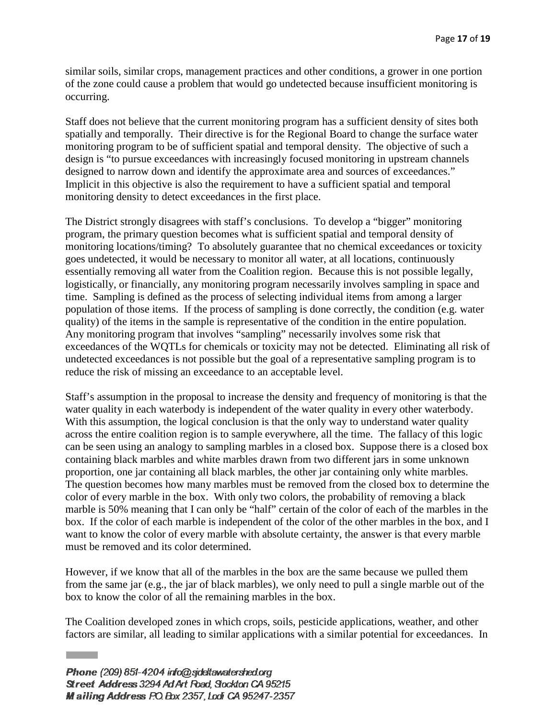similar soils, similar crops, management practices and other conditions, a grower in one portion of the zone could cause a problem that would go undetected because insufficient monitoring is occurring.

Staff does not believe that the current monitoring program has a sufficient density of sites both spatially and temporally. Their directive is for the Regional Board to change the surface water monitoring program to be of sufficient spatial and temporal density. The objective of such a design is "to pursue exceedances with increasingly focused monitoring in upstream channels designed to narrow down and identify the approximate area and sources of exceedances." Implicit in this objective is also the requirement to have a sufficient spatial and temporal monitoring density to detect exceedances in the first place.

The District strongly disagrees with staff's conclusions. To develop a "bigger" monitoring program, the primary question becomes what is sufficient spatial and temporal density of monitoring locations/timing? To absolutely guarantee that no chemical exceedances or toxicity goes undetected, it would be necessary to monitor all water, at all locations, continuously essentially removing all water from the Coalition region. Because this is not possible legally, logistically, or financially, any monitoring program necessarily involves sampling in space and time. Sampling is defined as the process of selecting individual items from among a larger population of those items. If the process of sampling is done correctly, the condition (e.g. water quality) of the items in the sample is representative of the condition in the entire population. Any monitoring program that involves "sampling" necessarily involves some risk that exceedances of the WQTLs for chemicals or toxicity may not be detected. Eliminating all risk of undetected exceedances is not possible but the goal of a representative sampling program is to reduce the risk of missing an exceedance to an acceptable level.

Staff's assumption in the proposal to increase the density and frequency of monitoring is that the water quality in each waterbody is independent of the water quality in every other waterbody. With this assumption, the logical conclusion is that the only way to understand water quality across the entire coalition region is to sample everywhere, all the time. The fallacy of this logic can be seen using an analogy to sampling marbles in a closed box. Suppose there is a closed box containing black marbles and white marbles drawn from two different jars in some unknown proportion, one jar containing all black marbles, the other jar containing only white marbles. The question becomes how many marbles must be removed from the closed box to determine the color of every marble in the box. With only two colors, the probability of removing a black marble is 50% meaning that I can only be "half" certain of the color of each of the marbles in the box. If the color of each marble is independent of the color of the other marbles in the box, and I want to know the color of every marble with absolute certainty, the answer is that every marble must be removed and its color determined.

However, if we know that all of the marbles in the box are the same because we pulled them from the same jar (e.g., the jar of black marbles), we only need to pull a single marble out of the box to know the color of all the remaining marbles in the box.

The Coalition developed zones in which crops, soils, pesticide applications, weather, and other factors are similar, all leading to similar applications with a similar potential for exceedances. In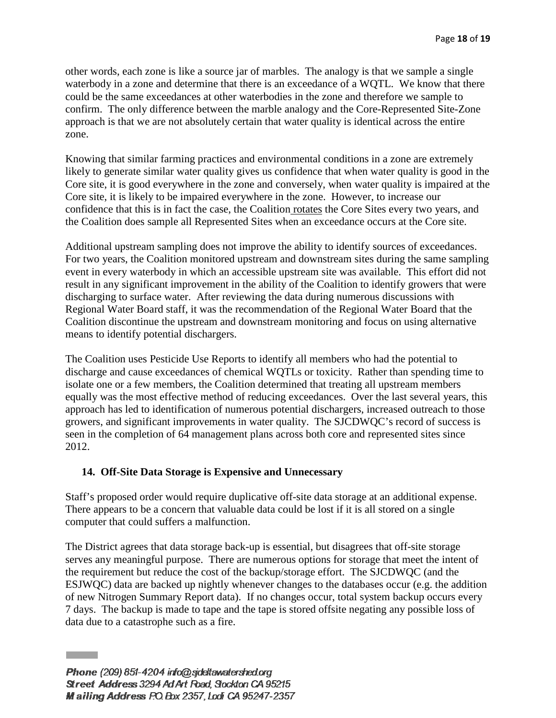other words, each zone is like a source jar of marbles. The analogy is that we sample a single waterbody in a zone and determine that there is an exceedance of a WQTL. We know that there could be the same exceedances at other waterbodies in the zone and therefore we sample to confirm. The only difference between the marble analogy and the Core-Represented Site-Zone approach is that we are not absolutely certain that water quality is identical across the entire zone.

Knowing that similar farming practices and environmental conditions in a zone are extremely likely to generate similar water quality gives us confidence that when water quality is good in the Core site, it is good everywhere in the zone and conversely, when water quality is impaired at the Core site, it is likely to be impaired everywhere in the zone. However, to increase our confidence that this is in fact the case, the Coalition rotates the Core Sites every two years, and the Coalition does sample all Represented Sites when an exceedance occurs at the Core site.

Additional upstream sampling does not improve the ability to identify sources of exceedances. For two years, the Coalition monitored upstream and downstream sites during the same sampling event in every waterbody in which an accessible upstream site was available. This effort did not result in any significant improvement in the ability of the Coalition to identify growers that were discharging to surface water. After reviewing the data during numerous discussions with Regional Water Board staff, it was the recommendation of the Regional Water Board that the Coalition discontinue the upstream and downstream monitoring and focus on using alternative means to identify potential dischargers.

The Coalition uses Pesticide Use Reports to identify all members who had the potential to discharge and cause exceedances of chemical WQTLs or toxicity. Rather than spending time to isolate one or a few members, the Coalition determined that treating all upstream members equally was the most effective method of reducing exceedances. Over the last several years, this approach has led to identification of numerous potential dischargers, increased outreach to those growers, and significant improvements in water quality. The SJCDWQC's record of success is seen in the completion of 64 management plans across both core and represented sites since 2012.

## **14. Off-Site Data Storage is Expensive and Unnecessary**

Staff's proposed order would require duplicative off-site data storage at an additional expense. There appears to be a concern that valuable data could be lost if it is all stored on a single computer that could suffers a malfunction.

The District agrees that data storage back-up is essential, but disagrees that off-site storage serves any meaningful purpose. There are numerous options for storage that meet the intent of the requirement but reduce the cost of the backup/storage effort. The SJCDWQC (and the ESJWQC) data are backed up nightly whenever changes to the databases occur (e.g. the addition of new Nitrogen Summary Report data). If no changes occur, total system backup occurs every 7 days. The backup is made to tape and the tape is stored offsite negating any possible loss of data due to a catastrophe such as a fire.